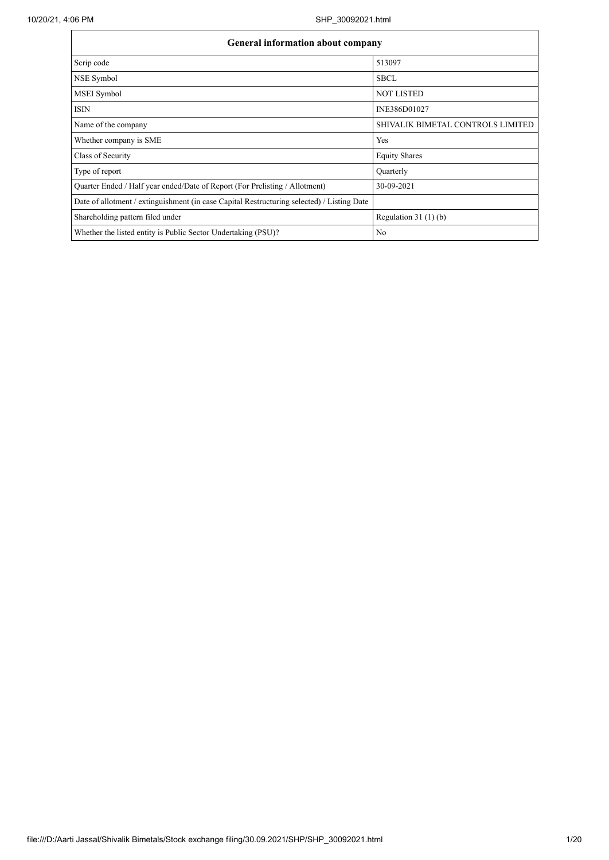| <b>General information about company</b>                                                   |                                   |  |  |  |  |  |  |  |  |
|--------------------------------------------------------------------------------------------|-----------------------------------|--|--|--|--|--|--|--|--|
| Scrip code                                                                                 | 513097                            |  |  |  |  |  |  |  |  |
| NSE Symbol                                                                                 | <b>SBCL</b>                       |  |  |  |  |  |  |  |  |
| MSEI Symbol                                                                                | <b>NOT LISTED</b>                 |  |  |  |  |  |  |  |  |
| <b>ISIN</b>                                                                                | INE386D01027                      |  |  |  |  |  |  |  |  |
| Name of the company                                                                        | SHIVALIK BIMETAL CONTROLS LIMITED |  |  |  |  |  |  |  |  |
| Whether company is SME                                                                     | Yes                               |  |  |  |  |  |  |  |  |
| Class of Security                                                                          | <b>Equity Shares</b>              |  |  |  |  |  |  |  |  |
| Type of report                                                                             | Quarterly                         |  |  |  |  |  |  |  |  |
| Quarter Ended / Half year ended/Date of Report (For Prelisting / Allotment)                | 30-09-2021                        |  |  |  |  |  |  |  |  |
| Date of allotment / extinguishment (in case Capital Restructuring selected) / Listing Date |                                   |  |  |  |  |  |  |  |  |
| Shareholding pattern filed under                                                           | Regulation $31(1)(b)$             |  |  |  |  |  |  |  |  |
| Whether the listed entity is Public Sector Undertaking (PSU)?                              | No                                |  |  |  |  |  |  |  |  |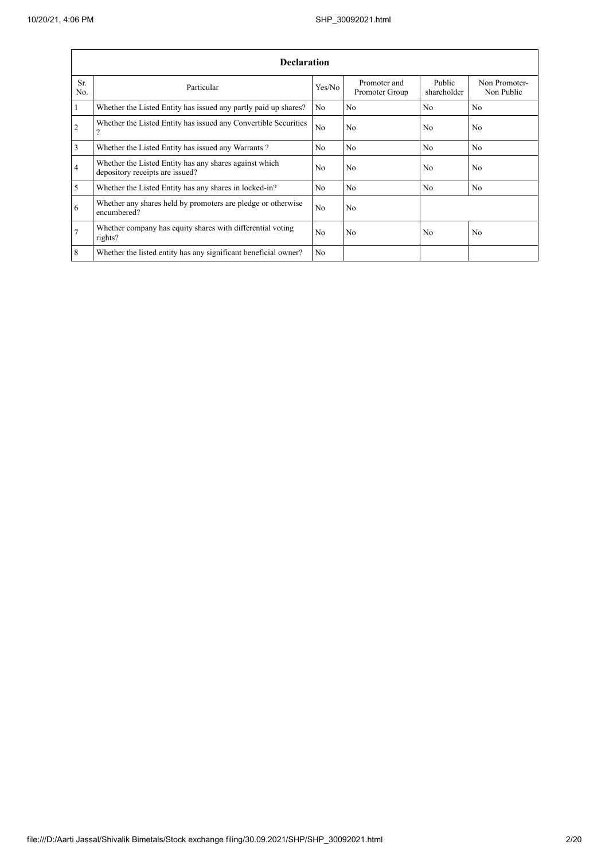|                | <b>Declaration</b>                                                                        |                |                                |                       |                             |  |  |  |  |  |  |  |
|----------------|-------------------------------------------------------------------------------------------|----------------|--------------------------------|-----------------------|-----------------------------|--|--|--|--|--|--|--|
| Sr.<br>No.     | Particular                                                                                | Yes/No         | Promoter and<br>Promoter Group | Public<br>shareholder | Non Promoter-<br>Non Public |  |  |  |  |  |  |  |
| $\mathbf{1}$   | Whether the Listed Entity has issued any partly paid up shares?                           | N <sub>0</sub> | No                             | N <sub>0</sub>        | N <sub>0</sub>              |  |  |  |  |  |  |  |
| $\overline{c}$ | Whether the Listed Entity has issued any Convertible Securities<br>$\Omega$               | N <sub>0</sub> | N <sub>0</sub>                 | N <sub>0</sub>        | No                          |  |  |  |  |  |  |  |
| 3              | Whether the Listed Entity has issued any Warrants?                                        | N <sub>0</sub> | N <sub>0</sub>                 | N <sub>0</sub>        | No                          |  |  |  |  |  |  |  |
| 4              | Whether the Listed Entity has any shares against which<br>depository receipts are issued? | N <sub>0</sub> | No                             | N <sub>0</sub>        | N <sub>o</sub>              |  |  |  |  |  |  |  |
| 5              | Whether the Listed Entity has any shares in locked-in?                                    | N <sub>0</sub> | N <sub>o</sub>                 | N <sub>o</sub>        | N <sub>o</sub>              |  |  |  |  |  |  |  |
| 6              | Whether any shares held by promoters are pledge or otherwise<br>encumbered?               | N <sub>o</sub> | No                             |                       |                             |  |  |  |  |  |  |  |
| $\tau$         | Whether company has equity shares with differential voting<br>rights?                     | N <sub>0</sub> | No                             | N <sub>o</sub>        | N <sub>o</sub>              |  |  |  |  |  |  |  |
| 8              | Whether the listed entity has any significant beneficial owner?                           | N <sub>o</sub> |                                |                       |                             |  |  |  |  |  |  |  |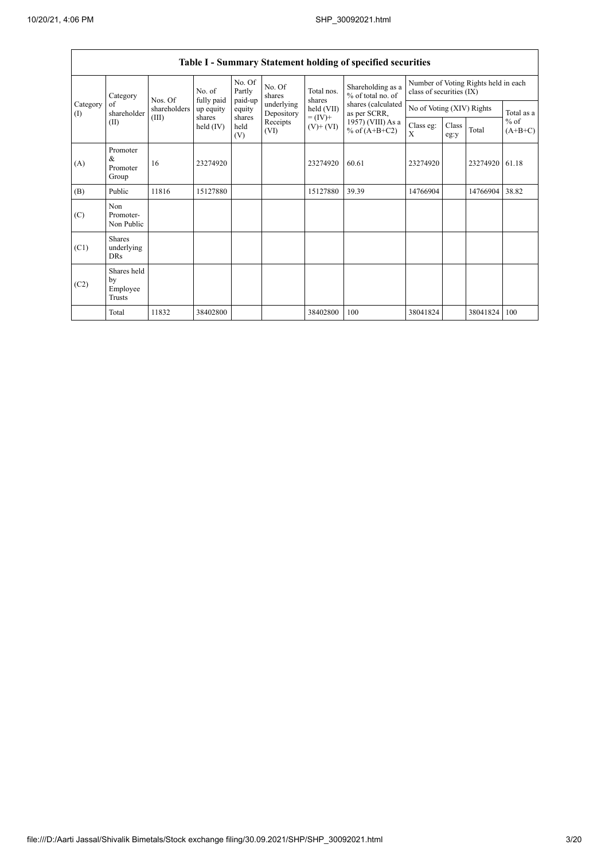$\mathsf{r}$ 

|                   | Table I - Summary Statement holding of specified securities |                                                                                              |                             |                       |                          |                                        |                                                                  |                           |               |            |                     |  |  |
|-------------------|-------------------------------------------------------------|----------------------------------------------------------------------------------------------|-----------------------------|-----------------------|--------------------------|----------------------------------------|------------------------------------------------------------------|---------------------------|---------------|------------|---------------------|--|--|
|                   | Category<br>of<br>shareholder<br>(II)                       | No. of<br>fully paid<br>Nos. Of<br>shareholders<br>up equity<br>(III)<br>shares<br>held (IV) | No. Of<br>Partly<br>paid-up | No. Of<br>shares      | Total nos.<br>shares     | Shareholding as a<br>% of total no. of | Number of Voting Rights held in each<br>class of securities (IX) |                           |               |            |                     |  |  |
| Category<br>$($ I |                                                             |                                                                                              |                             | equity                | underlying<br>Depository | held (VII)                             | shares (calculated<br>as per SCRR,                               | No of Voting (XIV) Rights |               | Total as a |                     |  |  |
|                   |                                                             |                                                                                              |                             | shares<br>held<br>(V) | Receipts<br>(VI)         | $= (IV) +$<br>$(V)$ + $(VI)$           | 1957) (VIII) As a<br>% of $(A+B+C2)$                             | Class eg:<br>X            | Class<br>eg:y | Total      | $%$ of<br>$(A+B+C)$ |  |  |
| (A)               | Promoter<br>&<br>Promoter<br>Group                          | 16                                                                                           | 23274920                    |                       |                          | 23274920                               | 60.61                                                            | 23274920                  |               | 23274920   | 61.18               |  |  |
| (B)               | Public                                                      | 11816                                                                                        | 15127880                    |                       |                          | 15127880                               | 39.39                                                            | 14766904                  |               | 14766904   | 38.82               |  |  |
| (C)               | Non<br>Promoter-<br>Non Public                              |                                                                                              |                             |                       |                          |                                        |                                                                  |                           |               |            |                     |  |  |
| (C1)              | <b>Shares</b><br>underlying<br><b>DRs</b>                   |                                                                                              |                             |                       |                          |                                        |                                                                  |                           |               |            |                     |  |  |
| (C2)              | Shares held<br>by<br>Employee<br><b>Trusts</b>              |                                                                                              |                             |                       |                          |                                        |                                                                  |                           |               |            |                     |  |  |
|                   | Total                                                       | 11832                                                                                        | 38402800                    |                       |                          | 38402800                               | 100                                                              | 38041824                  |               | 38041824   | 100                 |  |  |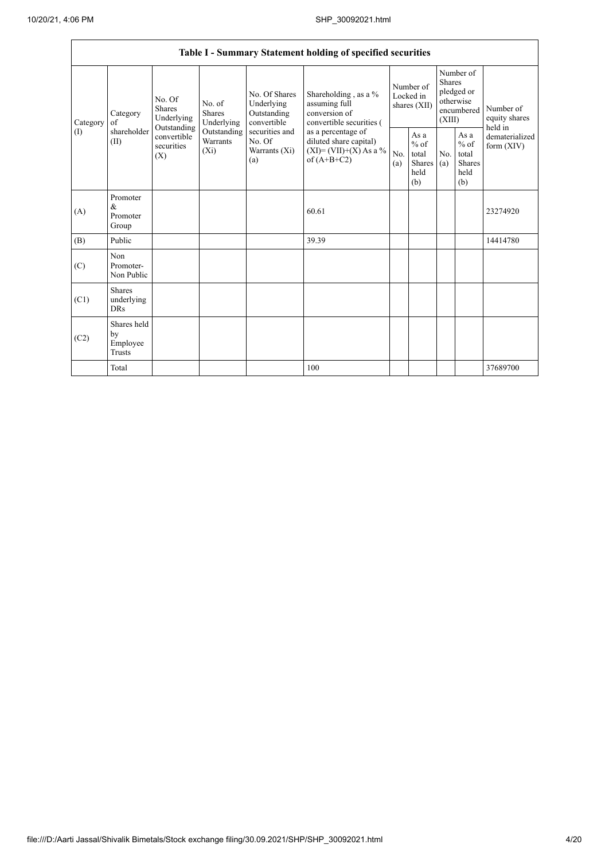|                   |                                                                       |                                                               |             |                                                           | Table I - Summary Statement holding of specified securities                                |                                        |                                                         |                                                                               |                                                         |                                       |
|-------------------|-----------------------------------------------------------------------|---------------------------------------------------------------|-------------|-----------------------------------------------------------|--------------------------------------------------------------------------------------------|----------------------------------------|---------------------------------------------------------|-------------------------------------------------------------------------------|---------------------------------------------------------|---------------------------------------|
| Category<br>$($ I | Shares<br>Category<br>of<br>Outstanding<br>shareholder<br>(II)<br>(X) | No. Of<br>No. of<br><b>Shares</b><br>Underlying<br>Underlying |             | No. Of Shares<br>Underlying<br>Outstanding<br>convertible | Shareholding , as a $\%$<br>assuming full<br>conversion of<br>convertible securities (     | Number of<br>Locked in<br>shares (XII) |                                                         | Number of<br><b>Shares</b><br>pledged or<br>otherwise<br>encumbered<br>(XIII) |                                                         | Number of<br>equity shares<br>held in |
|                   |                                                                       | convertible<br>Warrants<br>securities<br>$(X_i)$              | Outstanding | securities and<br>No. Of<br>Warrants (Xi)<br>(a)          | as a percentage of<br>diluted share capital)<br>$(XI) = (VII)+(X) As a %$<br>of $(A+B+C2)$ | No.<br>(a)                             | As a<br>$%$ of<br>total<br><b>Shares</b><br>held<br>(b) | No.<br>(a)                                                                    | As a<br>$%$ of<br>total<br><b>Shares</b><br>held<br>(b) | dematerialized<br>form $(XIV)$        |
| (A)               | Promoter<br>$\&$<br>Promoter<br>Group                                 |                                                               |             |                                                           | 60.61                                                                                      |                                        |                                                         |                                                                               |                                                         | 23274920                              |
| (B)               | Public                                                                |                                                               |             |                                                           | 39.39                                                                                      |                                        |                                                         |                                                                               |                                                         | 14414780                              |
| (C)               | N <sub>on</sub><br>Promoter-<br>Non Public                            |                                                               |             |                                                           |                                                                                            |                                        |                                                         |                                                                               |                                                         |                                       |
| (C1)              | <b>Shares</b><br>underlying<br><b>DRs</b>                             |                                                               |             |                                                           |                                                                                            |                                        |                                                         |                                                                               |                                                         |                                       |
| (C2)              | Shares held<br>by<br>Employee<br><b>Trusts</b>                        |                                                               |             |                                                           |                                                                                            |                                        |                                                         |                                                                               |                                                         |                                       |
|                   | Total                                                                 |                                                               |             |                                                           | 100                                                                                        |                                        |                                                         |                                                                               |                                                         | 37689700                              |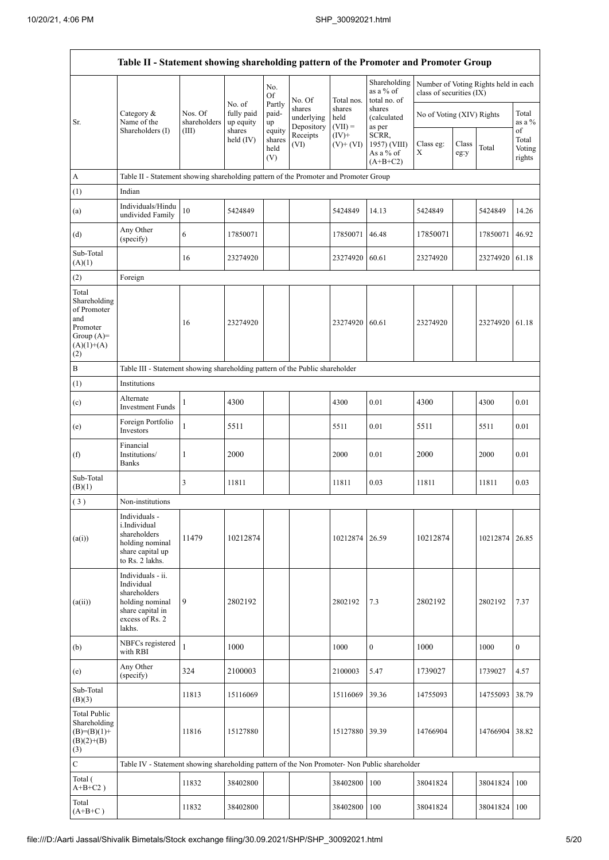$\mathbf{r}$ 

| Table II - Statement showing shareholding pattern of the Promoter and Promoter Group           |                                                                                                                     |                                  |                                             |                                 |                                    |                             |                                                  |                           |               |                                      |                           |  |
|------------------------------------------------------------------------------------------------|---------------------------------------------------------------------------------------------------------------------|----------------------------------|---------------------------------------------|---------------------------------|------------------------------------|-----------------------------|--------------------------------------------------|---------------------------|---------------|--------------------------------------|---------------------------|--|
|                                                                                                |                                                                                                                     |                                  |                                             | No.<br>Of                       | No. Of                             | Total nos.                  | Shareholding<br>as a % of<br>total no. of        | class of securities (IX)  |               | Number of Voting Rights held in each |                           |  |
| Sr.                                                                                            | Category &<br>Name of the<br>Shareholders (I)                                                                       | Nos. Of<br>shareholders<br>(III) | No. of<br>fully paid<br>up equity<br>shares | Partly<br>paid-<br>up<br>equity | shares<br>underlying<br>Depository | shares<br>held<br>$(VII) =$ | shares<br>(calculated<br>as per                  | No of Voting (XIV) Rights |               |                                      | Total<br>as a %<br>of     |  |
|                                                                                                |                                                                                                                     |                                  | held $(IV)$                                 | shares<br>held<br>(V)           | Receipts<br>(VI)                   | $(IV)+$<br>$(V)$ + $(VI)$   | SCRR,<br>1957) (VIII)<br>As a % of<br>$(A+B+C2)$ | Class eg:<br>Х            | Class<br>eg:y | Total                                | Total<br>Voting<br>rights |  |
| $\boldsymbol{\rm{A}}$                                                                          | Table II - Statement showing shareholding pattern of the Promoter and Promoter Group                                |                                  |                                             |                                 |                                    |                             |                                                  |                           |               |                                      |                           |  |
| (1)                                                                                            | Indian                                                                                                              |                                  |                                             |                                 |                                    |                             |                                                  |                           |               |                                      |                           |  |
| (a)                                                                                            | Individuals/Hindu<br>undivided Family                                                                               | 10                               | 5424849                                     |                                 |                                    | 5424849                     | 14.13                                            | 5424849                   |               | 5424849                              | 14.26                     |  |
| (d)                                                                                            | Any Other<br>(specify)                                                                                              | 6                                | 17850071                                    |                                 |                                    | 17850071                    | 46.48                                            | 17850071                  |               | 17850071                             | 46.92                     |  |
| Sub-Total<br>(A)(1)                                                                            |                                                                                                                     | 16                               | 23274920                                    |                                 |                                    | 23274920                    | 60.61                                            | 23274920                  |               | 23274920 61.18                       |                           |  |
| (2)                                                                                            | Foreign                                                                                                             |                                  |                                             |                                 |                                    |                             |                                                  |                           |               |                                      |                           |  |
| Total<br>Shareholding<br>of Promoter<br>and<br>Promoter<br>Group $(A)=$<br>$(A)(1)+(A)$<br>(2) |                                                                                                                     | 16                               | 23274920                                    |                                 |                                    | 23274920                    | 60.61                                            | 23274920                  |               | 23274920 61.18                       |                           |  |
| $\, {\bf B}$                                                                                   | Table III - Statement showing shareholding pattern of the Public shareholder                                        |                                  |                                             |                                 |                                    |                             |                                                  |                           |               |                                      |                           |  |
| (1)                                                                                            | Institutions                                                                                                        |                                  |                                             |                                 |                                    |                             |                                                  |                           |               |                                      |                           |  |
| (c)                                                                                            | Alternate<br><b>Investment Funds</b>                                                                                | 1                                | 4300                                        |                                 |                                    | 4300                        | 0.01                                             | 4300                      |               | 4300                                 | 0.01                      |  |
| (e)                                                                                            | Foreign Portfolio<br>Investors                                                                                      | 1                                | 5511                                        |                                 |                                    | 5511                        | 0.01                                             | 5511                      |               | 5511                                 | 0.01                      |  |
| (f)                                                                                            | Financial<br>Institutions/<br><b>Banks</b>                                                                          | 1                                | 2000                                        |                                 |                                    | 2000                        | 0.01                                             | 2000                      |               | 2000                                 | 0.01                      |  |
| Sub-Total<br>(B)(1)                                                                            |                                                                                                                     | 3                                | 11811                                       |                                 |                                    | 11811                       | 0.03                                             | 11811                     |               | 11811                                | 0.03                      |  |
| (3)                                                                                            | Non-institutions                                                                                                    |                                  |                                             |                                 |                                    |                             |                                                  |                           |               |                                      |                           |  |
| (a(i))                                                                                         | Individuals -<br>i.Individual<br>shareholders<br>holding nominal<br>share capital up<br>to Rs. 2 lakhs.             | 11479                            | 10212874                                    |                                 |                                    | 10212874 26.59              |                                                  | 10212874                  |               | 10212874 26.85                       |                           |  |
| (a(ii))                                                                                        | Individuals - ii.<br>Individual<br>shareholders<br>holding nominal<br>share capital in<br>excess of Rs. 2<br>lakhs. | 9                                | 2802192                                     |                                 |                                    | 2802192                     | 7.3                                              | 2802192                   |               | 2802192                              | 7.37                      |  |
| (b)                                                                                            | NBFCs registered<br>with RBI                                                                                        | 1                                | 1000                                        |                                 |                                    | 1000                        | $\mathbf{0}$                                     | 1000                      |               | 1000                                 | $\overline{0}$            |  |
| (e)                                                                                            | Any Other<br>(specify)                                                                                              | 324                              | 2100003                                     |                                 |                                    | 2100003                     | 5.47                                             | 1739027                   |               | 1739027                              | 4.57                      |  |
| Sub-Total<br>(B)(3)                                                                            |                                                                                                                     | 11813                            | 15116069                                    |                                 |                                    | 15116069                    | 39.36                                            | 14755093                  |               | 14755093                             | 38.79                     |  |
| <b>Total Public</b><br>Shareholding<br>$(B)=(B)(1)+$<br>$(B)(2)+(B)$<br>(3)                    |                                                                                                                     | 11816                            | 15127880                                    |                                 |                                    | 15127880 39.39              |                                                  | 14766904                  |               | 14766904                             | 38.82                     |  |
| $\mathbf C$                                                                                    | Table IV - Statement showing shareholding pattern of the Non Promoter- Non Public shareholder                       |                                  |                                             |                                 |                                    |                             |                                                  |                           |               |                                      |                           |  |
| Total (<br>$A+B+C2$ )                                                                          |                                                                                                                     | 11832                            | 38402800                                    |                                 |                                    | 38402800                    | 100                                              | 38041824                  |               | 38041824                             | 100                       |  |
| Total<br>$(A+B+C)$                                                                             |                                                                                                                     | 11832                            | 38402800                                    |                                 |                                    | 38402800                    | 100                                              | 38041824                  |               | 38041824                             | 100                       |  |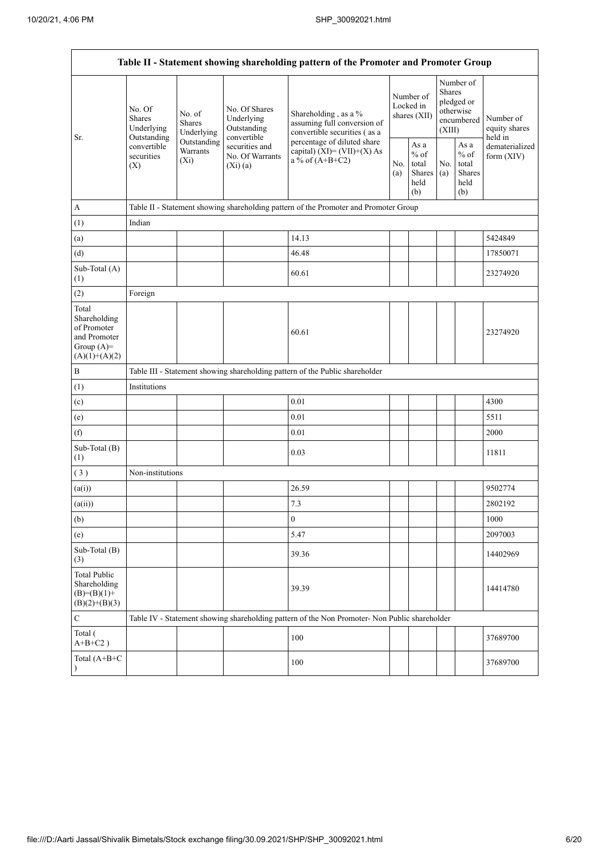$\overline{a}$ 

|                                                                                         |                                                      |                                    |                                                           | Table II - Statement showing shareholding pattern of the Promoter and Promoter Group          |                                                                                        |  |                                                                               |                                |                                       |
|-----------------------------------------------------------------------------------------|------------------------------------------------------|------------------------------------|-----------------------------------------------------------|-----------------------------------------------------------------------------------------------|----------------------------------------------------------------------------------------|--|-------------------------------------------------------------------------------|--------------------------------|---------------------------------------|
| Sr.                                                                                     | No. Of<br><b>Shares</b><br>Underlying<br>Outstanding | No. of<br>Shares<br>Underlying     | No. Of Shares<br>Underlying<br>Outstanding<br>convertible | Shareholding, as a %<br>assuming full conversion of<br>convertible securities (as a           | Number of<br>Locked in<br>shares (XII)                                                 |  | Number of<br><b>Shares</b><br>pledged or<br>otherwise<br>encumbered<br>(XIII) |                                | Number of<br>equity shares<br>held in |
|                                                                                         | convertible<br>securities<br>(X)                     | Outstanding<br>Warrants<br>$(X_i)$ | securities and<br>No. Of Warrants<br>$(X_i)$ (a)          | percentage of diluted share<br>capital) $(XI) = (VII)+(X) As$<br>a % of $(A+B+C2)$            | As $\mathbf a$<br>$%$ of<br>No.<br>total<br>No.<br>Shares<br>(a)<br>(a)<br>held<br>(b) |  | As a<br>$%$ of<br>total<br>Shares<br>held<br>(b)                              | dematerialized<br>form $(XIV)$ |                                       |
| $\mathbf A$                                                                             |                                                      |                                    |                                                           | Table II - Statement showing shareholding pattern of the Promoter and Promoter Group          |                                                                                        |  |                                                                               |                                |                                       |
| (1)                                                                                     | Indian                                               |                                    |                                                           |                                                                                               |                                                                                        |  |                                                                               |                                |                                       |
| (a)                                                                                     |                                                      |                                    |                                                           | 14.13                                                                                         |                                                                                        |  |                                                                               |                                | 5424849                               |
| (d)                                                                                     |                                                      |                                    |                                                           | 46.48                                                                                         |                                                                                        |  |                                                                               |                                | 17850071                              |
| Sub-Total (A)<br>(1)                                                                    |                                                      |                                    |                                                           | 60.61                                                                                         |                                                                                        |  |                                                                               |                                | 23274920                              |
| (2)                                                                                     | Foreign                                              |                                    |                                                           |                                                                                               |                                                                                        |  |                                                                               |                                |                                       |
| Total<br>Shareholding<br>of Promoter<br>and Promoter<br>Group $(A)=$<br>$(A)(1)+(A)(2)$ |                                                      |                                    |                                                           | 60.61                                                                                         |                                                                                        |  |                                                                               |                                | 23274920                              |
| $\, {\bf B}$                                                                            |                                                      |                                    |                                                           | Table III - Statement showing shareholding pattern of the Public shareholder                  |                                                                                        |  |                                                                               |                                |                                       |
| (1)                                                                                     | Institutions                                         |                                    |                                                           |                                                                                               |                                                                                        |  |                                                                               |                                |                                       |
| (c)                                                                                     |                                                      |                                    |                                                           | 0.01                                                                                          |                                                                                        |  |                                                                               |                                | 4300                                  |
| (e)                                                                                     |                                                      |                                    |                                                           | 0.01                                                                                          |                                                                                        |  |                                                                               |                                | 5511                                  |
| (f)                                                                                     |                                                      |                                    |                                                           | 0.01                                                                                          |                                                                                        |  |                                                                               |                                | 2000                                  |
| Sub-Total (B)<br>(1)                                                                    |                                                      |                                    |                                                           | 0.03                                                                                          |                                                                                        |  |                                                                               |                                | 11811                                 |
| (3)                                                                                     | Non-institutions                                     |                                    |                                                           |                                                                                               |                                                                                        |  |                                                                               |                                |                                       |
| (a(i))                                                                                  |                                                      |                                    |                                                           | 26.59                                                                                         |                                                                                        |  |                                                                               |                                | 9502774                               |
| (a(ii))                                                                                 |                                                      |                                    |                                                           | 7.3                                                                                           |                                                                                        |  |                                                                               |                                | 2802192                               |
| (b)                                                                                     |                                                      |                                    |                                                           | $\boldsymbol{0}$                                                                              |                                                                                        |  |                                                                               |                                | 1000                                  |
| (e)                                                                                     |                                                      |                                    |                                                           | 5.47                                                                                          |                                                                                        |  |                                                                               |                                | 2097003                               |
| Sub-Total (B)<br>(3)                                                                    |                                                      |                                    |                                                           | 39.36                                                                                         |                                                                                        |  |                                                                               |                                | 14402969                              |
| <b>Total Public</b><br>Shareholding<br>$(B)= (B)(1) +$<br>$(B)(2)+(B)(3)$               |                                                      |                                    |                                                           | 39.39                                                                                         |                                                                                        |  |                                                                               |                                | 14414780                              |
| $\mathbf C$                                                                             |                                                      |                                    |                                                           | Table IV - Statement showing shareholding pattern of the Non Promoter- Non Public shareholder |                                                                                        |  |                                                                               |                                |                                       |
| Total (<br>$A+B+C2$ )                                                                   |                                                      |                                    |                                                           | 100                                                                                           |                                                                                        |  |                                                                               |                                | 37689700                              |
| Total (A+B+C<br>$\mathcal{E}$                                                           |                                                      |                                    |                                                           | 100                                                                                           |                                                                                        |  |                                                                               |                                | 37689700                              |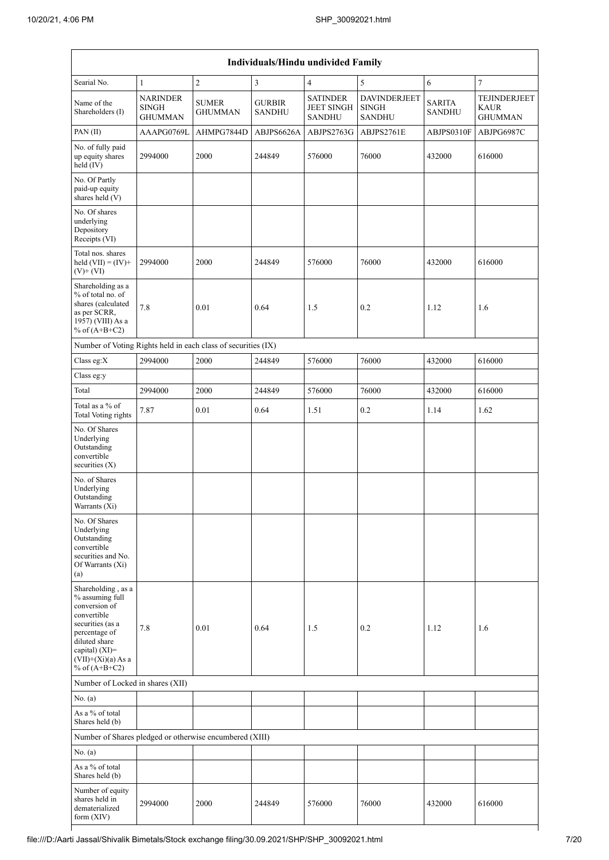| Individuals/Hindu undivided Family                                                                                                                                                       |                                                   |                                |                                |                                                       |                                                      |                                |                                                      |  |  |  |  |
|------------------------------------------------------------------------------------------------------------------------------------------------------------------------------------------|---------------------------------------------------|--------------------------------|--------------------------------|-------------------------------------------------------|------------------------------------------------------|--------------------------------|------------------------------------------------------|--|--|--|--|
| Searial No.                                                                                                                                                                              | $\mathbf{1}$                                      | $\overline{2}$                 | $\overline{\mathbf{3}}$        | $\overline{4}$                                        | 5                                                    | 6                              | $\overline{7}$                                       |  |  |  |  |
| Name of the<br>Shareholders (I)                                                                                                                                                          | <b>NARINDER</b><br><b>SINGH</b><br><b>GHUMMAN</b> | <b>SUMER</b><br><b>GHUMMAN</b> | <b>GURBIR</b><br><b>SANDHU</b> | <b>SATINDER</b><br><b>JEET SINGH</b><br><b>SANDHU</b> | <b>DAVINDERJEET</b><br><b>SINGH</b><br><b>SANDHU</b> | <b>SARITA</b><br><b>SANDHU</b> | <b>TEJINDERJEET</b><br><b>KAUR</b><br><b>GHUMMAN</b> |  |  |  |  |
| PAN (II)                                                                                                                                                                                 | AAAPG0769L                                        | AHMPG7844D                     | ABJPS6626A                     | ABJPS2763G                                            | ABJPS2761E                                           | ABJPS0310F                     | ABJPG6987C                                           |  |  |  |  |
| No. of fully paid<br>up equity shares<br>$held$ (IV)                                                                                                                                     | 2994000                                           | 2000                           | 244849                         | 576000                                                | 76000                                                | 432000                         | 616000                                               |  |  |  |  |
| No. Of Partly<br>paid-up equity<br>shares held (V)                                                                                                                                       |                                                   |                                |                                |                                                       |                                                      |                                |                                                      |  |  |  |  |
| No. Of shares<br>underlying<br>Depository<br>Receipts (VI)                                                                                                                               |                                                   |                                |                                |                                                       |                                                      |                                |                                                      |  |  |  |  |
| Total nos. shares<br>held $(VII) = (IV) +$<br>$(V)$ + $(VI)$                                                                                                                             | 2994000                                           | 2000                           | 244849                         | 576000                                                | 76000                                                | 432000                         | 616000                                               |  |  |  |  |
| Shareholding as a<br>% of total no. of<br>shares (calculated<br>as per SCRR,<br>1957) (VIII) As a<br>% of $(A+B+C2)$                                                                     | 7.8                                               | 0.01                           | 0.64                           | 1.5                                                   | 0.2                                                  | 1.12                           | 1.6                                                  |  |  |  |  |
| Number of Voting Rights held in each class of securities (IX)                                                                                                                            |                                                   |                                |                                |                                                       |                                                      |                                |                                                      |  |  |  |  |
| Class eg:X                                                                                                                                                                               | 2994000                                           | 2000                           | 244849                         | 576000                                                | 76000                                                | 432000                         | 616000                                               |  |  |  |  |
| Class eg:y                                                                                                                                                                               |                                                   |                                |                                |                                                       |                                                      |                                |                                                      |  |  |  |  |
| Total                                                                                                                                                                                    | 2994000                                           | 2000                           | 244849                         | 576000                                                | 76000                                                | 432000                         | 616000                                               |  |  |  |  |
| Total as a % of<br><b>Total Voting rights</b>                                                                                                                                            | 7.87                                              | $0.01\,$                       | 0.64                           | 1.51                                                  | 0.2                                                  | 1.14                           | 1.62                                                 |  |  |  |  |
| No. Of Shares<br>Underlying<br>Outstanding<br>convertible<br>securities $(X)$                                                                                                            |                                                   |                                |                                |                                                       |                                                      |                                |                                                      |  |  |  |  |
| No. of Shares<br>Underlying<br>Outstanding<br>Warrants (Xi)                                                                                                                              |                                                   |                                |                                |                                                       |                                                      |                                |                                                      |  |  |  |  |
| No. Of Shares<br>Underlying<br>Outstanding<br>convertible<br>securities and No.<br>Of Warrants (Xi)<br>(a)                                                                               |                                                   |                                |                                |                                                       |                                                      |                                |                                                      |  |  |  |  |
| Shareholding, as a<br>% assuming full<br>conversion of<br>convertible<br>securities (as a<br>percentage of<br>diluted share<br>capital) (XI)=<br>$(VII)+(Xi)(a)$ As a<br>% of $(A+B+C2)$ | 7.8                                               | 0.01                           | 0.64                           | 1.5                                                   | 0.2                                                  | 1.12                           | 1.6                                                  |  |  |  |  |
| Number of Locked in shares (XII)                                                                                                                                                         |                                                   |                                |                                |                                                       |                                                      |                                |                                                      |  |  |  |  |
| No. (a)                                                                                                                                                                                  |                                                   |                                |                                |                                                       |                                                      |                                |                                                      |  |  |  |  |
| As a % of total<br>Shares held (b)                                                                                                                                                       |                                                   |                                |                                |                                                       |                                                      |                                |                                                      |  |  |  |  |
| Number of Shares pledged or otherwise encumbered (XIII)                                                                                                                                  |                                                   |                                |                                |                                                       |                                                      |                                |                                                      |  |  |  |  |
| No. (a)                                                                                                                                                                                  |                                                   |                                |                                |                                                       |                                                      |                                |                                                      |  |  |  |  |
| As a % of total<br>Shares held (b)                                                                                                                                                       |                                                   |                                |                                |                                                       |                                                      |                                |                                                      |  |  |  |  |
| Number of equity<br>shares held in<br>dematerialized<br>form (XIV)                                                                                                                       | 2994000                                           | 2000                           | 244849                         | 576000                                                | 76000                                                | 432000                         | 616000                                               |  |  |  |  |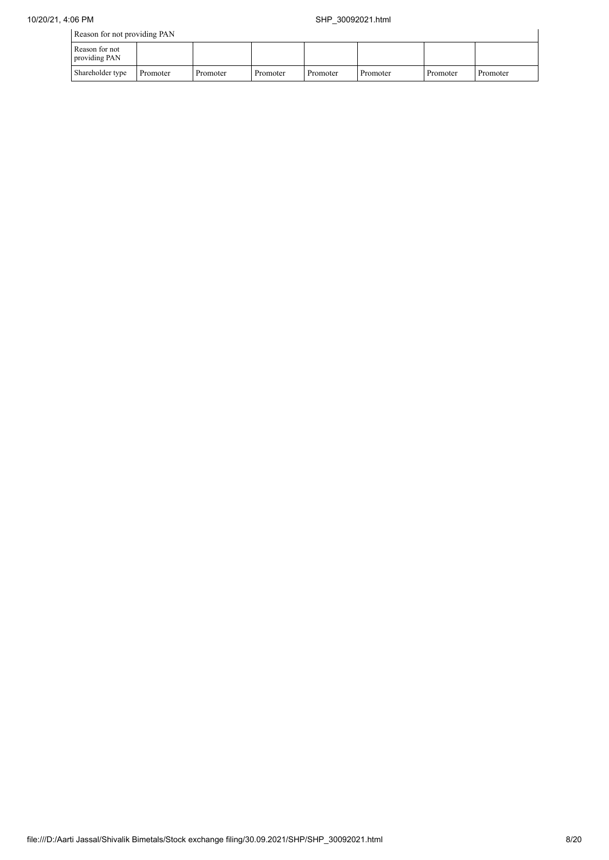$\overline{1}$ 

Reason for not providing PAN

| ---------------                 |          |          |          |          |          |          |          |
|---------------------------------|----------|----------|----------|----------|----------|----------|----------|
| Reason for not<br>providing PAN |          |          |          |          |          |          |          |
| Shareholder type                | Promoter | Promoter | Promoter | Promoter | Promoter | Promoter | Promoter |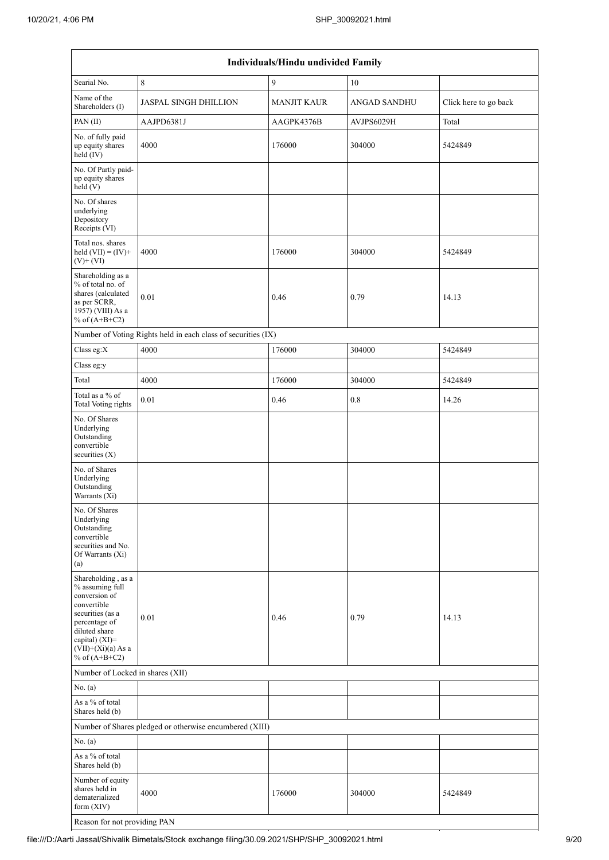|                                                                                                                                                                                          | Individuals/Hindu undivided Family                            |                    |                     |                       |  |  |  |  |  |  |  |  |
|------------------------------------------------------------------------------------------------------------------------------------------------------------------------------------------|---------------------------------------------------------------|--------------------|---------------------|-----------------------|--|--|--|--|--|--|--|--|
| Searial No.                                                                                                                                                                              | $\,8\,$                                                       | $\overline{9}$     | 10                  |                       |  |  |  |  |  |  |  |  |
| Name of the<br>Shareholders (I)                                                                                                                                                          | <b>JASPAL SINGH DHILLION</b>                                  | <b>MANJIT KAUR</b> | <b>ANGAD SANDHU</b> | Click here to go back |  |  |  |  |  |  |  |  |
| PAN (II)                                                                                                                                                                                 | AAJPD6381J                                                    | AAGPK4376B         | AVJPS6029H          | Total                 |  |  |  |  |  |  |  |  |
| No. of fully paid<br>up equity shares<br>held (IV)                                                                                                                                       | 4000                                                          | 176000             | 304000              | 5424849               |  |  |  |  |  |  |  |  |
| No. Of Partly paid-<br>up equity shares<br>held(V)                                                                                                                                       |                                                               |                    |                     |                       |  |  |  |  |  |  |  |  |
| No. Of shares<br>underlying<br>Depository<br>Receipts (VI)                                                                                                                               |                                                               |                    |                     |                       |  |  |  |  |  |  |  |  |
| Total nos. shares<br>held $(VII) = (IV) +$<br>$(V)+(VI)$                                                                                                                                 | 4000                                                          | 176000             | 304000              | 5424849               |  |  |  |  |  |  |  |  |
| Shareholding as a<br>% of total no. of<br>shares (calculated<br>as per SCRR,<br>1957) (VIII) As a<br>% of $(A+B+C2)$                                                                     | 0.01                                                          | 0.46               | 0.79                | 14.13                 |  |  |  |  |  |  |  |  |
|                                                                                                                                                                                          | Number of Voting Rights held in each class of securities (IX) |                    |                     |                       |  |  |  |  |  |  |  |  |
| Class eg:X                                                                                                                                                                               | 4000                                                          | 176000             | 304000              | 5424849               |  |  |  |  |  |  |  |  |
| Class eg:y                                                                                                                                                                               |                                                               |                    |                     |                       |  |  |  |  |  |  |  |  |
| Total                                                                                                                                                                                    | 4000                                                          | 176000             | 304000              | 5424849               |  |  |  |  |  |  |  |  |
| Total as a % of<br><b>Total Voting rights</b>                                                                                                                                            | 0.01                                                          | 0.46               | 0.8                 | 14.26                 |  |  |  |  |  |  |  |  |
| No. Of Shares<br>Underlying<br>Outstanding<br>convertible<br>securities $(X)$                                                                                                            |                                                               |                    |                     |                       |  |  |  |  |  |  |  |  |
| No. of Shares<br>Underlying<br>Outstanding<br>Warrants (Xi)                                                                                                                              |                                                               |                    |                     |                       |  |  |  |  |  |  |  |  |
| No. Of Shares<br>Underlying<br>Outstanding<br>convertible<br>securities and No.<br>Of Warrants (Xi)<br>(a)                                                                               |                                                               |                    |                     |                       |  |  |  |  |  |  |  |  |
| Shareholding, as a<br>% assuming full<br>conversion of<br>convertible<br>securities (as a<br>percentage of<br>diluted share<br>capital) (XI)=<br>$(VII)+(Xi)(a)$ As a<br>% of $(A+B+C2)$ | 0.01                                                          | 0.46               | 0.79                | 14.13                 |  |  |  |  |  |  |  |  |
| Number of Locked in shares (XII)                                                                                                                                                         |                                                               |                    |                     |                       |  |  |  |  |  |  |  |  |
| No. (a)                                                                                                                                                                                  |                                                               |                    |                     |                       |  |  |  |  |  |  |  |  |
| As a % of total<br>Shares held (b)                                                                                                                                                       |                                                               |                    |                     |                       |  |  |  |  |  |  |  |  |
|                                                                                                                                                                                          | Number of Shares pledged or otherwise encumbered (XIII)       |                    |                     |                       |  |  |  |  |  |  |  |  |
| No. (a)                                                                                                                                                                                  |                                                               |                    |                     |                       |  |  |  |  |  |  |  |  |
| As a % of total<br>Shares held (b)                                                                                                                                                       |                                                               |                    |                     |                       |  |  |  |  |  |  |  |  |
| Number of equity<br>shares held in<br>dematerialized<br>form $(XIV)$                                                                                                                     | 4000                                                          | 176000             | 304000              | 5424849               |  |  |  |  |  |  |  |  |
| Reason for not providing PAN                                                                                                                                                             |                                                               |                    |                     |                       |  |  |  |  |  |  |  |  |

 $\overline{\phantom{a}}$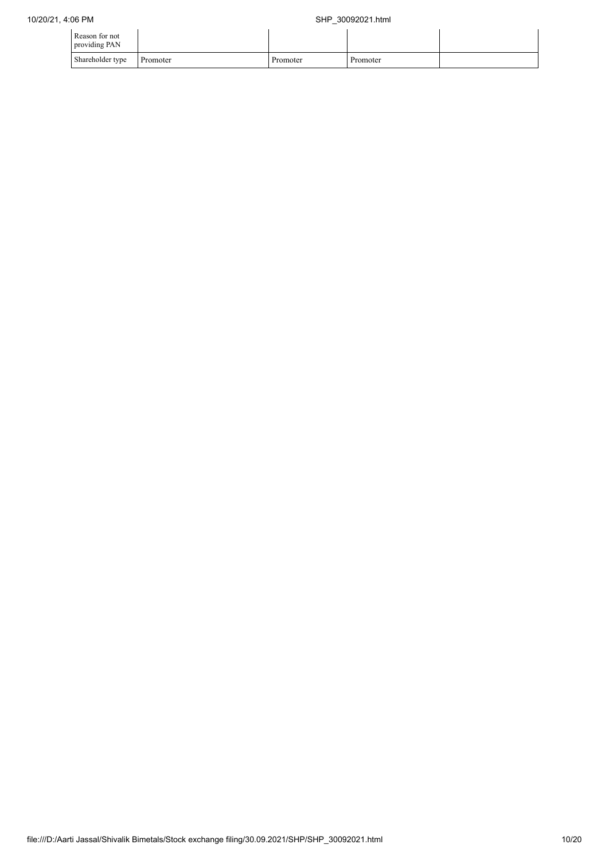| Reason for not<br>providing PAN |          |          |          |  |
|---------------------------------|----------|----------|----------|--|
| Shareholder type                | Promoter | Promoter | Promoter |  |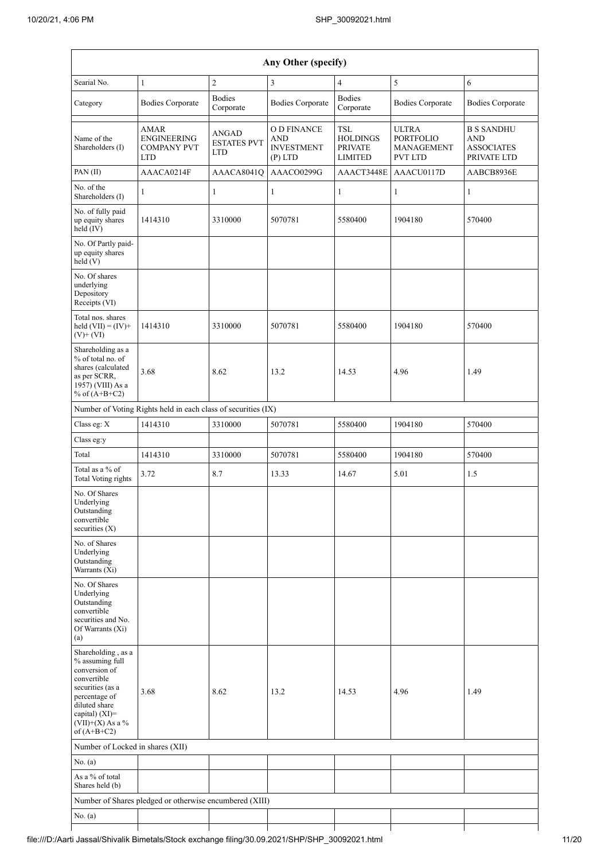|                                                                                                                                                                                      | Any Other (specify)                                                   |                                           |                                                             |                                                            |                                                                  |                                                                     |  |  |  |  |  |  |
|--------------------------------------------------------------------------------------------------------------------------------------------------------------------------------------|-----------------------------------------------------------------------|-------------------------------------------|-------------------------------------------------------------|------------------------------------------------------------|------------------------------------------------------------------|---------------------------------------------------------------------|--|--|--|--|--|--|
| Searial No.                                                                                                                                                                          | $\mathbf{1}$                                                          | $\overline{c}$                            | 3                                                           | $\overline{4}$                                             | 5                                                                | 6                                                                   |  |  |  |  |  |  |
| Category                                                                                                                                                                             | <b>Bodies Corporate</b>                                               | <b>Bodies</b><br>Corporate                | <b>Bodies Corporate</b>                                     | <b>Bodies</b><br>Corporate                                 | <b>Bodies Corporate</b>                                          | <b>Bodies Corporate</b>                                             |  |  |  |  |  |  |
| Name of the<br>Shareholders (I)                                                                                                                                                      | <b>AMAR</b><br><b>ENGINEERING</b><br><b>COMPANY PVT</b><br><b>LTD</b> | ANGAD<br><b>ESTATES PVT</b><br><b>LTD</b> | O D FINANCE<br><b>AND</b><br><b>INVESTMENT</b><br>$(P)$ LTD | TSL<br><b>HOLDINGS</b><br><b>PRIVATE</b><br><b>LIMITED</b> | <b>ULTRA</b><br><b>PORTFOLIO</b><br>MANAGEMENT<br><b>PVT LTD</b> | <b>B S SANDHU</b><br><b>AND</b><br><b>ASSOCIATES</b><br>PRIVATE LTD |  |  |  |  |  |  |
| PAN (II)                                                                                                                                                                             | AAACA0214F                                                            | AAACA8041Q                                | AAACO0299G                                                  | AAACT3448E                                                 | AAACU0117D                                                       | AABCB8936E                                                          |  |  |  |  |  |  |
| No. of the<br>Shareholders (I)                                                                                                                                                       | 1                                                                     | $\mathbf{1}$                              | $\mathbf{1}$                                                | 1                                                          | 1                                                                | $\mathbf{1}$                                                        |  |  |  |  |  |  |
| No. of fully paid<br>up equity shares<br>held $(IV)$                                                                                                                                 | 1414310                                                               | 3310000                                   | 5070781                                                     | 5580400                                                    | 1904180                                                          | 570400                                                              |  |  |  |  |  |  |
| No. Of Partly paid-<br>up equity shares<br>held (V)                                                                                                                                  |                                                                       |                                           |                                                             |                                                            |                                                                  |                                                                     |  |  |  |  |  |  |
| No. Of shares<br>underlying<br>Depository<br>Receipts (VI)                                                                                                                           |                                                                       |                                           |                                                             |                                                            |                                                                  |                                                                     |  |  |  |  |  |  |
| Total nos. shares<br>held $(VII) = (IV) +$<br>$(V)$ + $(VI)$                                                                                                                         | 1414310                                                               | 3310000                                   | 5070781                                                     | 5580400                                                    | 1904180                                                          | 570400                                                              |  |  |  |  |  |  |
| Shareholding as a<br>% of total no. of<br>shares (calculated<br>as per SCRR,<br>1957) (VIII) As a<br>% of $(A+B+C2)$                                                                 | 3.68                                                                  | 8.62                                      | 13.2                                                        | 14.53                                                      | 4.96                                                             | 1.49                                                                |  |  |  |  |  |  |
|                                                                                                                                                                                      | Number of Voting Rights held in each class of securities (IX)         |                                           |                                                             |                                                            |                                                                  |                                                                     |  |  |  |  |  |  |
| Class eg: X                                                                                                                                                                          | 1414310                                                               | 3310000                                   | 5070781                                                     | 5580400                                                    | 1904180                                                          | 570400                                                              |  |  |  |  |  |  |
| Class eg:y                                                                                                                                                                           |                                                                       |                                           |                                                             |                                                            |                                                                  |                                                                     |  |  |  |  |  |  |
| Total                                                                                                                                                                                | 1414310                                                               | 3310000                                   | 5070781                                                     | 5580400                                                    | 1904180                                                          | 570400                                                              |  |  |  |  |  |  |
| Total as a % of<br><b>Total Voting rights</b>                                                                                                                                        | 3.72                                                                  | 8.7                                       | 13.33                                                       | 14.67                                                      | 5.01                                                             | 1.5                                                                 |  |  |  |  |  |  |
| No. Of Shares<br>Underlying<br>Outstanding<br>convertible<br>securities $(X)$                                                                                                        |                                                                       |                                           |                                                             |                                                            |                                                                  |                                                                     |  |  |  |  |  |  |
| No. of Shares<br>Underlying<br>Outstanding<br>Warrants (Xi)                                                                                                                          |                                                                       |                                           |                                                             |                                                            |                                                                  |                                                                     |  |  |  |  |  |  |
| No. Of Shares<br>Underlying<br>Outstanding<br>convertible<br>securities and No.<br>Of Warrants (Xi)<br>(a)                                                                           |                                                                       |                                           |                                                             |                                                            |                                                                  |                                                                     |  |  |  |  |  |  |
| Shareholding, as a<br>% assuming full<br>conversion of<br>convertible<br>securities (as a<br>percentage of<br>diluted share<br>capital) (XI)=<br>$(VII)+(X)$ As a %<br>of $(A+B+C2)$ | 3.68                                                                  | 8.62                                      | 13.2                                                        | 14.53                                                      | 4.96                                                             | 1.49                                                                |  |  |  |  |  |  |
| Number of Locked in shares (XII)                                                                                                                                                     |                                                                       |                                           |                                                             |                                                            |                                                                  |                                                                     |  |  |  |  |  |  |
| No. (a)                                                                                                                                                                              |                                                                       |                                           |                                                             |                                                            |                                                                  |                                                                     |  |  |  |  |  |  |
| As a % of total<br>Shares held (b)                                                                                                                                                   |                                                                       |                                           |                                                             |                                                            |                                                                  |                                                                     |  |  |  |  |  |  |
|                                                                                                                                                                                      | Number of Shares pledged or otherwise encumbered (XIII)               |                                           |                                                             |                                                            |                                                                  |                                                                     |  |  |  |  |  |  |
| No. (a)                                                                                                                                                                              |                                                                       |                                           |                                                             |                                                            |                                                                  |                                                                     |  |  |  |  |  |  |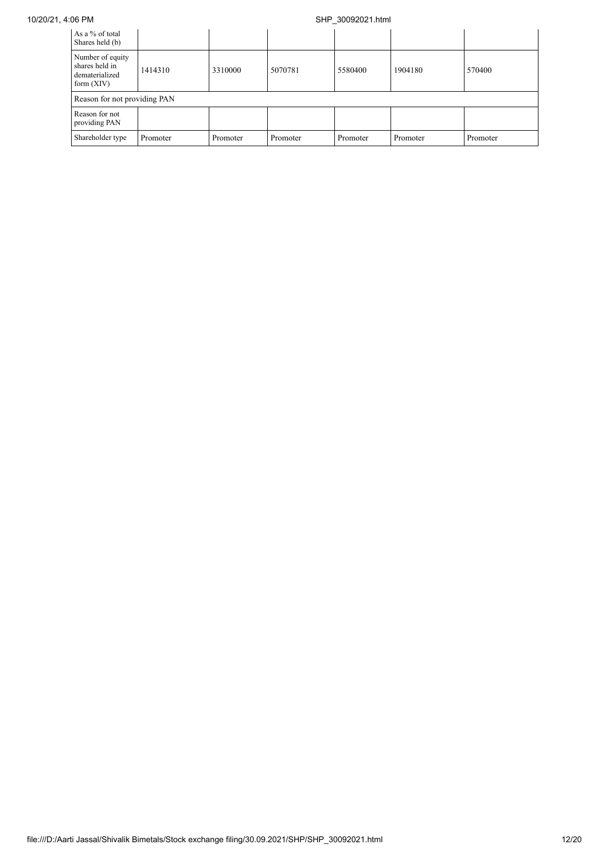## 10/20/21, 4:06 PM SHP\_30092021.html

| As a % of total<br>Shares held (b)                                   |          |          |          |          |          |          |
|----------------------------------------------------------------------|----------|----------|----------|----------|----------|----------|
| Number of equity<br>shares held in<br>dematerialized<br>form $(XIV)$ | 1414310  | 3310000  | 5070781  | 5580400  | 1904180  | 570400   |
| Reason for not providing PAN                                         |          |          |          |          |          |          |
| Reason for not<br>providing PAN                                      |          |          |          |          |          |          |
| Shareholder type                                                     | Promoter | Promoter | Promoter | Promoter | Promoter | Promoter |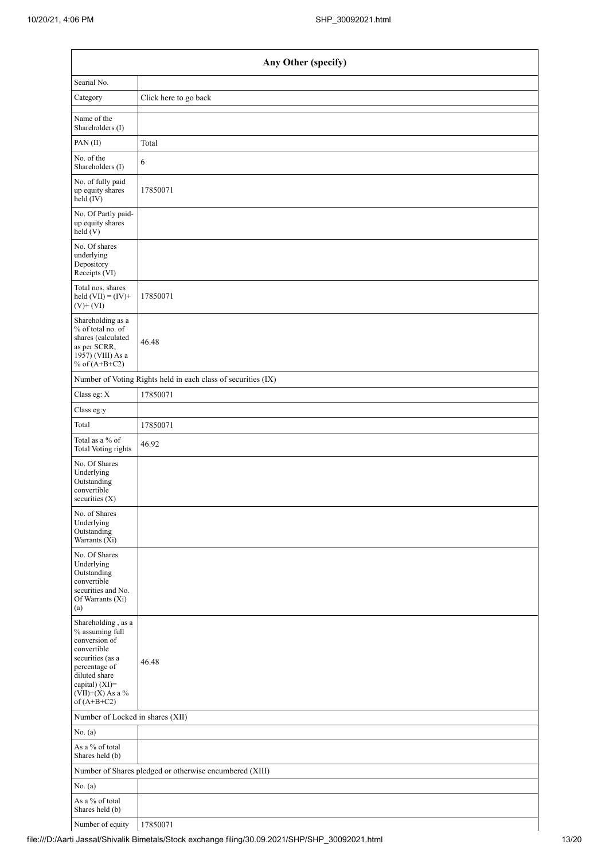| Any Other (specify)                                                                                                                                                                  |                                                               |  |  |  |  |
|--------------------------------------------------------------------------------------------------------------------------------------------------------------------------------------|---------------------------------------------------------------|--|--|--|--|
| Searial No.                                                                                                                                                                          |                                                               |  |  |  |  |
| Category                                                                                                                                                                             | Click here to go back                                         |  |  |  |  |
| Name of the<br>Shareholders (I)                                                                                                                                                      |                                                               |  |  |  |  |
| PAN (II)                                                                                                                                                                             | Total                                                         |  |  |  |  |
| No. of the<br>Shareholders (I)                                                                                                                                                       | 6                                                             |  |  |  |  |
| No. of fully paid<br>up equity shares<br>held (IV)                                                                                                                                   | 17850071                                                      |  |  |  |  |
| No. Of Partly paid-<br>up equity shares<br>held (V)                                                                                                                                  |                                                               |  |  |  |  |
| No. Of shares<br>underlying<br>Depository<br>Receipts (VI)                                                                                                                           |                                                               |  |  |  |  |
| Total nos. shares<br>held $(VII) = (IV) +$<br>$(V)$ + $(VI)$                                                                                                                         | 17850071                                                      |  |  |  |  |
| Shareholding as a<br>% of total no. of<br>shares (calculated<br>as per SCRR,<br>1957) (VIII) As a<br>% of $(A+B+C2)$                                                                 | 46.48                                                         |  |  |  |  |
|                                                                                                                                                                                      | Number of Voting Rights held in each class of securities (IX) |  |  |  |  |
| Class eg: X                                                                                                                                                                          | 17850071                                                      |  |  |  |  |
| Class eg:y                                                                                                                                                                           |                                                               |  |  |  |  |
| Total                                                                                                                                                                                | 17850071                                                      |  |  |  |  |
| Total as a % of<br>Total Voting rights                                                                                                                                               | 46.92                                                         |  |  |  |  |
| No. Of Shares<br>Underlying<br>Outstanding<br>convertible<br>securities $(X)$                                                                                                        |                                                               |  |  |  |  |
| No. of Shares<br>Underlying<br>Outstanding<br>Warrants (Xi)                                                                                                                          |                                                               |  |  |  |  |
| No. Of Shares<br>Underlying<br>Outstanding<br>convertible<br>securities and No.<br>Of Warrants (Xi)<br>(a)                                                                           |                                                               |  |  |  |  |
| Shareholding, as a<br>% assuming full<br>conversion of<br>convertible<br>securities (as a<br>percentage of<br>diluted share<br>capital) (XI)=<br>$(VII)+(X)$ As a %<br>of $(A+B+C2)$ | 46.48                                                         |  |  |  |  |
| Number of Locked in shares (XII)                                                                                                                                                     |                                                               |  |  |  |  |
| No. (a)                                                                                                                                                                              |                                                               |  |  |  |  |
| As a % of total<br>Shares held (b)                                                                                                                                                   |                                                               |  |  |  |  |
|                                                                                                                                                                                      | Number of Shares pledged or otherwise encumbered (XIII)       |  |  |  |  |
| No. (a)                                                                                                                                                                              |                                                               |  |  |  |  |
| As a % of total<br>Shares held (b)                                                                                                                                                   |                                                               |  |  |  |  |
| Number of equity                                                                                                                                                                     | 17850071                                                      |  |  |  |  |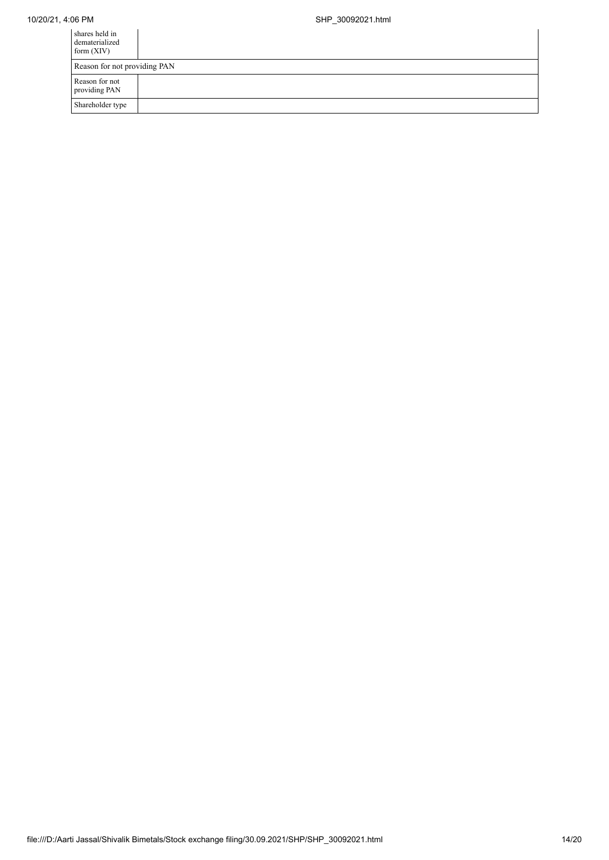| shares held in<br>dematerialized<br>form $(XIV)$ |  |
|--------------------------------------------------|--|
| Reason for not providing PAN                     |  |
| Reason for not<br>providing PAN                  |  |
| Shareholder type                                 |  |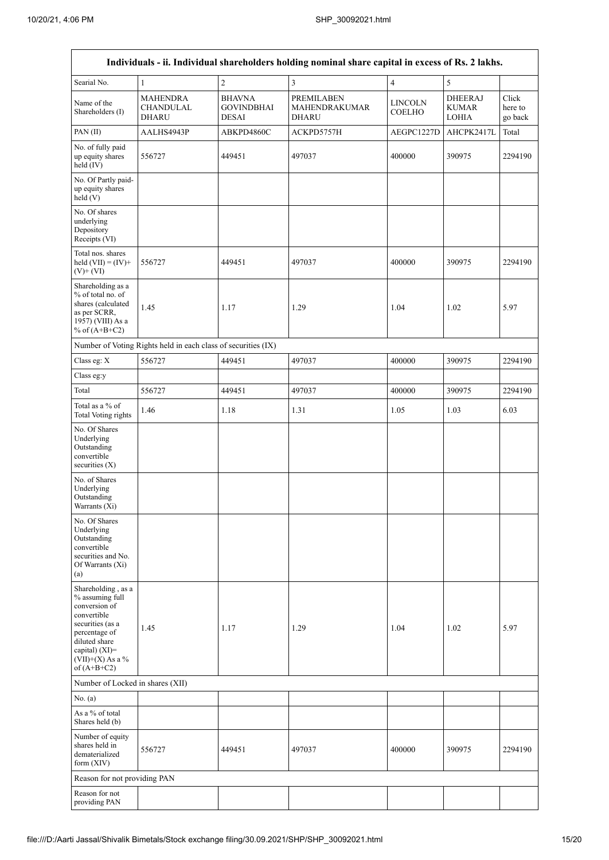| Individuals - ii. Individual shareholders holding nominal share capital in excess of Rs. 2 lakhs.                                                                                    |                                                               |                                                    |                                                           |                                 |                                                |                             |  |
|--------------------------------------------------------------------------------------------------------------------------------------------------------------------------------------|---------------------------------------------------------------|----------------------------------------------------|-----------------------------------------------------------|---------------------------------|------------------------------------------------|-----------------------------|--|
| Searial No.                                                                                                                                                                          | $\mathbf{1}$                                                  | $\overline{c}$                                     | $\mathfrak{Z}$                                            | $\overline{4}$                  | $\sqrt{5}$                                     |                             |  |
| Name of the<br>Shareholders (I)                                                                                                                                                      | <b>MAHENDRA</b><br><b>CHANDULAL</b><br><b>DHARU</b>           | <b>BHAVNA</b><br><b>GOVINDBHAI</b><br><b>DESAI</b> | <b>PREMILABEN</b><br><b>MAHENDRAKUMAR</b><br><b>DHARU</b> | <b>LINCOLN</b><br><b>COELHO</b> | <b>DHEERAJ</b><br><b>KUMAR</b><br><b>LOHIA</b> | Click<br>here to<br>go back |  |
| PAN (II)                                                                                                                                                                             | AALHS4943P                                                    | ABKPD4860C                                         | ACKPD5757H                                                | AEGPC1227D                      | AHCPK2417L                                     | Total                       |  |
| No. of fully paid<br>up equity shares<br>held (IV)                                                                                                                                   | 556727                                                        | 449451                                             | 497037                                                    | 400000                          | 390975                                         | 2294190                     |  |
| No. Of Partly paid-<br>up equity shares<br>held(V)                                                                                                                                   |                                                               |                                                    |                                                           |                                 |                                                |                             |  |
| No. Of shares<br>underlying<br>Depository<br>Receipts (VI)                                                                                                                           |                                                               |                                                    |                                                           |                                 |                                                |                             |  |
| Total nos. shares<br>held $(VII) = (IV) +$<br>$(V)$ + $(VI)$                                                                                                                         | 556727                                                        | 449451                                             | 497037                                                    | 400000                          | 390975                                         | 2294190                     |  |
| Shareholding as a<br>% of total no. of<br>shares (calculated<br>as per SCRR,<br>1957) (VIII) As a<br>% of $(A+B+C2)$                                                                 | 1.45                                                          | 1.17                                               | 1.29                                                      | 1.04                            | 1.02                                           | 5.97                        |  |
|                                                                                                                                                                                      | Number of Voting Rights held in each class of securities (IX) |                                                    |                                                           |                                 |                                                |                             |  |
| Class eg: X                                                                                                                                                                          | 556727                                                        | 449451                                             | 497037                                                    | 400000                          | 390975                                         | 2294190                     |  |
| Class eg:y                                                                                                                                                                           |                                                               |                                                    |                                                           |                                 |                                                |                             |  |
| Total                                                                                                                                                                                | 556727                                                        | 449451                                             | 497037                                                    | 400000                          | 390975                                         | 2294190                     |  |
| Total as a % of<br>Total Voting rights                                                                                                                                               | 1.46                                                          | 1.18                                               | 1.31                                                      | 1.05                            | 1.03                                           | 6.03                        |  |
| No. Of Shares<br>Underlying<br>Outstanding<br>convertible<br>securities $(X)$                                                                                                        |                                                               |                                                    |                                                           |                                 |                                                |                             |  |
| No. of Shares<br>Underlying<br>Outstanding<br>Warrants (X1)                                                                                                                          |                                                               |                                                    |                                                           |                                 |                                                |                             |  |
| No. Of Shares<br>Underlying<br>Outstanding<br>convertible<br>securities and No.<br>Of Warrants (Xi)<br>(a)                                                                           |                                                               |                                                    |                                                           |                                 |                                                |                             |  |
| Shareholding, as a<br>% assuming full<br>conversion of<br>convertible<br>securities (as a<br>percentage of<br>diluted share<br>capital) (XI)=<br>$(VII)+(X)$ As a %<br>of $(A+B+C2)$ | 1.45                                                          | 1.17                                               | 1.29                                                      | 1.04                            | 1.02                                           | 5.97                        |  |
| Number of Locked in shares (XII)                                                                                                                                                     |                                                               |                                                    |                                                           |                                 |                                                |                             |  |
| No. (a)                                                                                                                                                                              |                                                               |                                                    |                                                           |                                 |                                                |                             |  |
| As a % of total<br>Shares held (b)                                                                                                                                                   |                                                               |                                                    |                                                           |                                 |                                                |                             |  |
| Number of equity<br>shares held in<br>dematerialized<br>form (XIV)                                                                                                                   | 556727                                                        | 449451                                             | 497037                                                    | 400000                          | 390975                                         | 2294190                     |  |
| Reason for not providing PAN                                                                                                                                                         |                                                               |                                                    |                                                           |                                 |                                                |                             |  |
| Reason for not<br>providing PAN                                                                                                                                                      |                                                               |                                                    |                                                           |                                 |                                                |                             |  |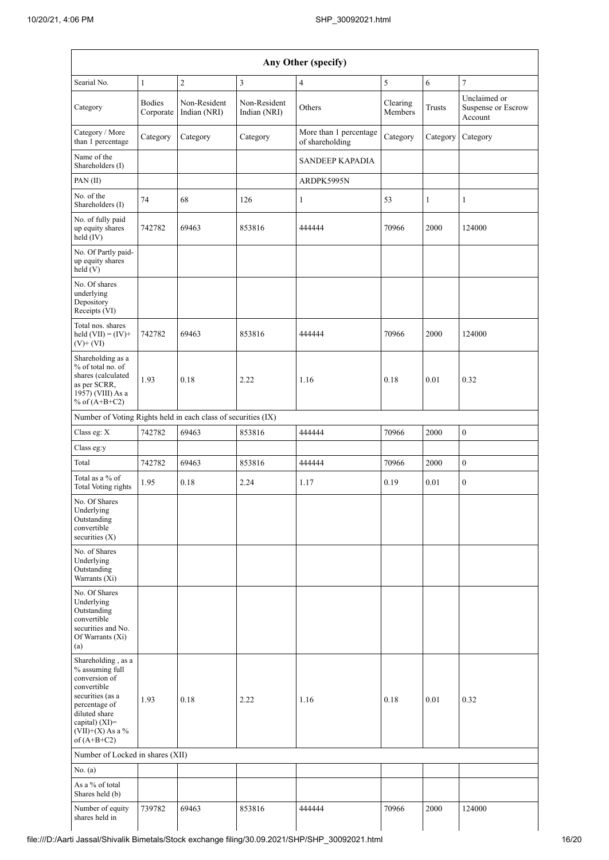| Any Other (specify)                                                                                                                                                                  |                                  |                              |                              |                                           |                     |          |                                               |
|--------------------------------------------------------------------------------------------------------------------------------------------------------------------------------------|----------------------------------|------------------------------|------------------------------|-------------------------------------------|---------------------|----------|-----------------------------------------------|
| Searial No.                                                                                                                                                                          | $\mathbf{1}$                     | $\sqrt{2}$                   | 3                            | $\overline{4}$                            | 5                   | 6        | $\sqrt{ }$                                    |
| Category                                                                                                                                                                             | <b>Bodies</b><br>Corporate       | Non-Resident<br>Indian (NRI) | Non-Resident<br>Indian (NRI) | Others                                    | Clearing<br>Members | Trusts   | Unclaimed or<br>Suspense or Escrow<br>Account |
| Category / More<br>than 1 percentage                                                                                                                                                 | Category                         | Category                     | Category                     | More than 1 percentage<br>of shareholding | Category            | Category | Category                                      |
| Name of the<br>Shareholders (I)                                                                                                                                                      |                                  |                              |                              | <b>SANDEEP KAPADIA</b>                    |                     |          |                                               |
| PAN (II)                                                                                                                                                                             |                                  |                              |                              | ARDPK5995N                                |                     |          |                                               |
| No. of the<br>Shareholders (I)                                                                                                                                                       | 74                               | 68                           | 126                          | $\mathbf{1}$                              | 53                  | 1        | 1                                             |
| No. of fully paid<br>up equity shares<br>held (IV)                                                                                                                                   | 742782                           | 69463                        | 853816                       | 444444                                    | 70966               | 2000     | 124000                                        |
| No. Of Partly paid-<br>up equity shares<br>held (V)                                                                                                                                  |                                  |                              |                              |                                           |                     |          |                                               |
| No. Of shares<br>underlying<br>Depository<br>Receipts (VI)                                                                                                                           |                                  |                              |                              |                                           |                     |          |                                               |
| Total nos. shares<br>held $(VII) = (IV) +$<br>$(V)$ + $(VI)$                                                                                                                         | 742782                           | 69463                        | 853816                       | 444444                                    | 70966               | 2000     | 124000                                        |
| Shareholding as a<br>% of total no. of<br>shares (calculated<br>as per SCRR,<br>1957) (VIII) As a<br>% of $(A+B+C2)$                                                                 | 1.93                             | 0.18                         | 2.22                         | 1.16                                      | 0.18                | 0.01     | 0.32                                          |
| Number of Voting Rights held in each class of securities (IX)                                                                                                                        |                                  |                              |                              |                                           |                     |          |                                               |
| Class eg: X                                                                                                                                                                          | 742782                           | 69463                        | 853816                       | 444444                                    | 70966               | 2000     | $\boldsymbol{0}$                              |
| Class eg:y                                                                                                                                                                           |                                  |                              |                              |                                           |                     |          |                                               |
| Total                                                                                                                                                                                | 742782                           | 69463                        | 853816                       | 444444                                    | 70966               | 2000     | $\boldsymbol{0}$                              |
| Total as a % of<br>Total Voting rights                                                                                                                                               | 1.95                             | 0.18                         | 2.24                         | 1.17                                      | 0.19                | 0.01     | $\mathbf{0}$                                  |
| No. Of Shares<br>Underlying<br>Outstanding<br>convertible<br>securities $(X)$                                                                                                        |                                  |                              |                              |                                           |                     |          |                                               |
| No. of Shares<br>Underlying<br>Outstanding<br>Warrants (Xi)                                                                                                                          |                                  |                              |                              |                                           |                     |          |                                               |
| No. Of Shares<br>Underlying<br>Outstanding<br>convertible<br>securities and No.<br>Of Warrants (Xi)<br>(a)                                                                           |                                  |                              |                              |                                           |                     |          |                                               |
| Shareholding, as a<br>% assuming full<br>conversion of<br>convertible<br>securities (as a<br>percentage of<br>diluted share<br>capital) (XI)=<br>$(VII)+(X)$ As a %<br>of $(A+B+C2)$ | 1.93                             | 0.18                         | 2.22                         | 1.16                                      | 0.18                | 0.01     | 0.32                                          |
|                                                                                                                                                                                      | Number of Locked in shares (XII) |                              |                              |                                           |                     |          |                                               |
| No. (a)                                                                                                                                                                              |                                  |                              |                              |                                           |                     |          |                                               |
| As a % of total<br>Shares held (b)                                                                                                                                                   |                                  |                              |                              |                                           |                     |          |                                               |
| Number of equity<br>shares held in                                                                                                                                                   | 739782                           | 69463                        | 853816                       | 444444                                    | 70966               | 2000     | 124000                                        |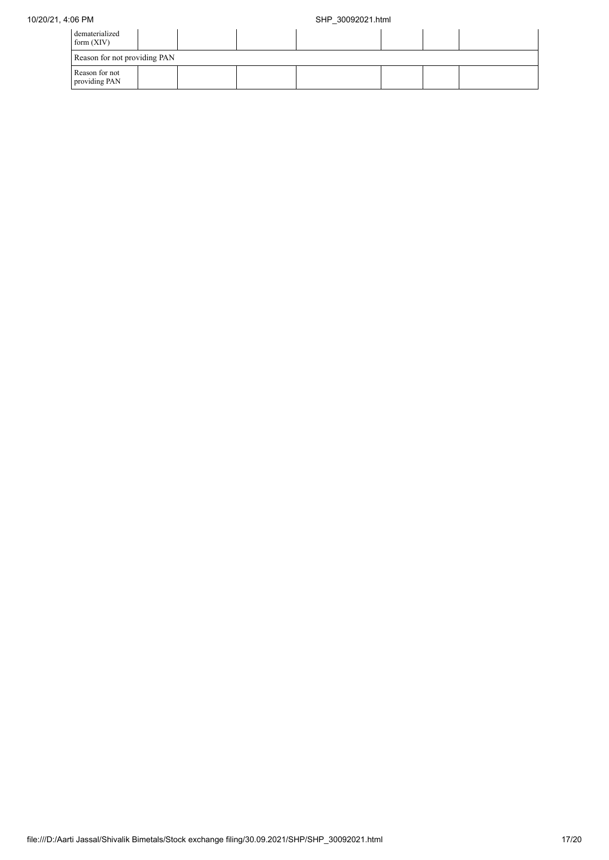## 10/20/21, 4:06 PM SHP\_30092021.html

| dematerialized<br>form $(XIV)$  |  |  |  |  |
|---------------------------------|--|--|--|--|
| Reason for not providing PAN    |  |  |  |  |
| Reason for not<br>providing PAN |  |  |  |  |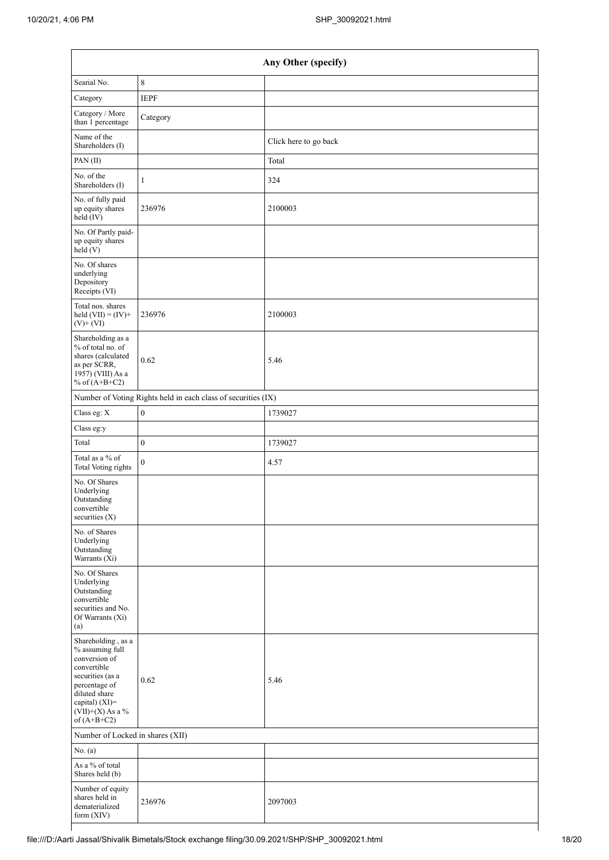| Any Other (specify)                                                                                                                                                                  |                                                               |                       |  |  |  |
|--------------------------------------------------------------------------------------------------------------------------------------------------------------------------------------|---------------------------------------------------------------|-----------------------|--|--|--|
| Searial No.                                                                                                                                                                          | $\,$ 8 $\,$                                                   |                       |  |  |  |
| Category                                                                                                                                                                             | <b>IEPF</b>                                                   |                       |  |  |  |
| Category / More<br>than 1 percentage                                                                                                                                                 | Category                                                      |                       |  |  |  |
| Name of the<br>Shareholders (I)                                                                                                                                                      |                                                               | Click here to go back |  |  |  |
| PAN (II)                                                                                                                                                                             |                                                               | Total                 |  |  |  |
| No. of the<br>Shareholders (I)                                                                                                                                                       | $\mathbf{1}$                                                  | 324                   |  |  |  |
| No. of fully paid<br>up equity shares<br>held (IV)                                                                                                                                   | 236976                                                        | 2100003               |  |  |  |
| No. Of Partly paid-<br>up equity shares<br>held(V)                                                                                                                                   |                                                               |                       |  |  |  |
| No. Of shares<br>underlying<br>Depository<br>Receipts (VI)                                                                                                                           |                                                               |                       |  |  |  |
| Total nos. shares<br>held $(VII) = (IV) +$<br>$(V)$ + $(VI)$                                                                                                                         | 236976                                                        | 2100003               |  |  |  |
| Shareholding as a<br>% of total no. of<br>shares (calculated<br>as per SCRR,<br>1957) (VIII) As a<br>% of $(A+B+C2)$                                                                 | 0.62                                                          | 5.46                  |  |  |  |
|                                                                                                                                                                                      | Number of Voting Rights held in each class of securities (IX) |                       |  |  |  |
| Class eg: X                                                                                                                                                                          | $\boldsymbol{0}$                                              | 1739027               |  |  |  |
| Class eg:y                                                                                                                                                                           |                                                               |                       |  |  |  |
| Total                                                                                                                                                                                | $\boldsymbol{0}$                                              | 1739027               |  |  |  |
| Total as a % of<br><b>Total Voting rights</b>                                                                                                                                        | $\mathbf{0}$                                                  | 4.57                  |  |  |  |
| No. Of Shares<br>Underlying<br>Outstanding<br>convertible<br>securities $(X)$                                                                                                        |                                                               |                       |  |  |  |
| No. of Shares<br>Underlying<br>Outstanding<br>Warrants (Xi)                                                                                                                          |                                                               |                       |  |  |  |
| No. Of Shares<br>Underlying<br>Outstanding<br>convertible<br>securities and No.<br>Of Warrants (Xi)<br>(a)                                                                           |                                                               |                       |  |  |  |
| Shareholding, as a<br>% assuming full<br>conversion of<br>convertible<br>securities (as a<br>percentage of<br>diluted share<br>capital) (XI)=<br>$(VII)+(X)$ As a %<br>of $(A+B+C2)$ | 0.62                                                          | 5.46                  |  |  |  |
| Number of Locked in shares (XII)                                                                                                                                                     |                                                               |                       |  |  |  |
| No. (a)                                                                                                                                                                              |                                                               |                       |  |  |  |
| As a % of total<br>Shares held (b)                                                                                                                                                   |                                                               |                       |  |  |  |
| Number of equity<br>shares held in<br>dematerialized<br>form (XIV)                                                                                                                   | 236976                                                        | 2097003               |  |  |  |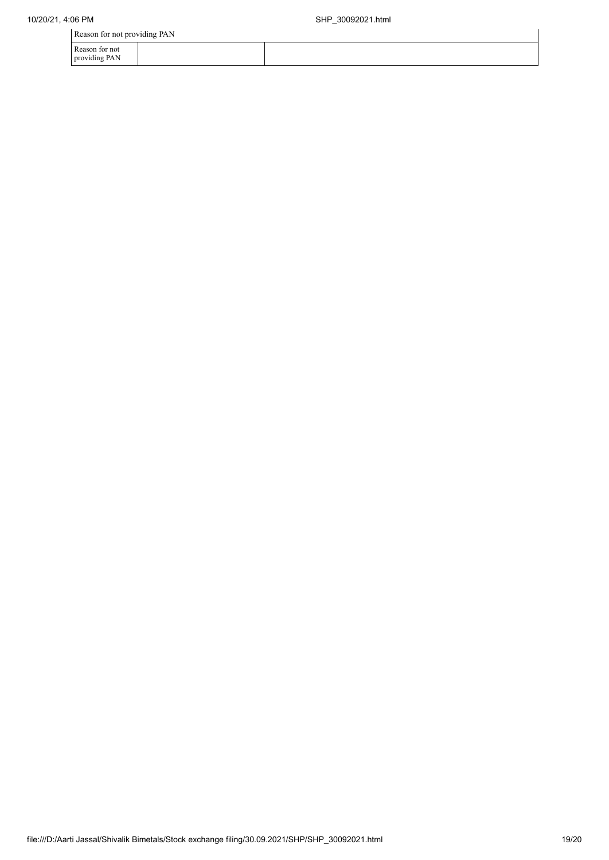Reason for not providing PAN

providing PAN

| Reason for not |  |  |  |  |  |
|----------------|--|--|--|--|--|